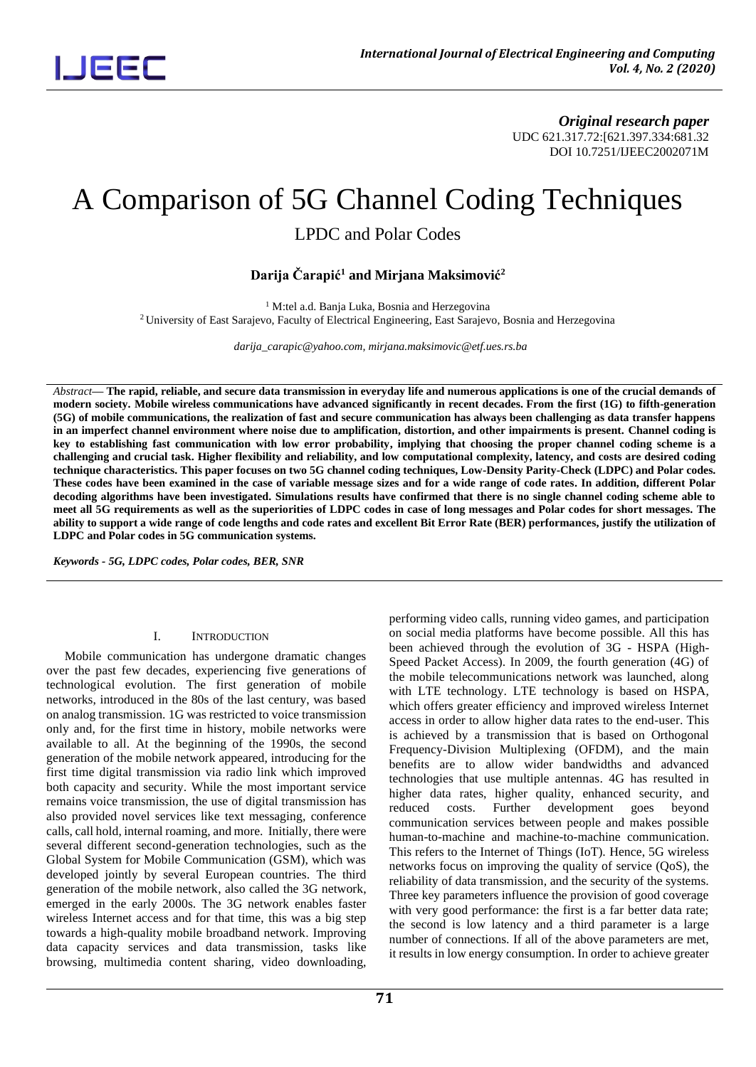*Original research paper* UDC 621.317.72:[621.397.334:681.32 DOI 10.7251/IJEEC2002071M

## A Comparison of 5G Channel Coding Techniques

LPDC and Polar Codes

**Darija Čarapić<sup>1</sup> and Mirjana Maksimović 2**

<sup>1</sup> M:tel a.d. Banja Luka, Bosnia and Herzegovina <sup>2</sup>University of East Sarajevo, Faculty of Electrical Engineering, East Sarajevo, Bosnia and Herzegovina

 *darija\_carapic@yahoo.com, mirjana.maksimovic@etf.ues.rs.ba*

*Abstract***— The rapid, reliable, and secure data transmission in everyday life and numerous applications is one of the crucial demands of modern society. Mobile wireless communications have advanced significantly in recent decades. From the first (1G) to fifth-generation (5G) of mobile communications, the realization of fast and secure communication has always been challenging as data transfer happens in an imperfect channel environment where noise due to amplification, distortion, and other impairments is present. Channel coding is key to establishing fast communication with low error probability, implying that choosing the proper channel coding scheme is a challenging and crucial task. Higher flexibility and reliability, and low computational complexity, latency, and costs are desired coding technique characteristics. This paper focuses on two 5G channel coding techniques, Low-Density Parity-Check (LDPC) and Polar codes. These codes have been examined in the case of variable message sizes and for a wide range of code rates. In addition, different Polar decoding algorithms have been investigated. Simulations results have confirmed that there is no single channel coding scheme able to meet all 5G requirements as well as the superiorities of LDPC codes in case of long messages and Polar codes for short messages. The ability to support a wide range of code lengths and code rates and excellent Bit Error Rate (BER) performances, justify the utilization of LDPC and Polar codes in 5G communication systems.**

*Keywords - 5G, LDPC codes, Polar codes, BER, SNR*

#### I. INTRODUCTION

Mobile communication has undergone dramatic changes over the past few decades, experiencing five generations of technological evolution. The first generation of mobile networks, introduced in the 80s of the last century, was based on analog transmission. 1G was restricted to voice transmission only and, for the first time in history, mobile networks were available to all. At the beginning of the 1990s, the second generation of the mobile network appeared, introducing for the first time digital transmission via radio link which improved both capacity and security. While the most important service remains voice transmission, the use of digital transmission has also provided novel services like text messaging, conference calls, call hold, internal roaming, and more. Initially, there were several different second-generation technologies, such as the Global System for Mobile Communication (GSM), which was developed jointly by several European countries. The third generation of the mobile network, also called the 3G network, emerged in the early 2000s. The 3G network enables faster wireless Internet access and for that time, this was a big step towards a high-quality mobile broadband network. Improving data capacity services and data transmission, tasks like browsing, multimedia content sharing, video downloading,

performing video calls, running video games, and participation on social media platforms have become possible. All this has been achieved through the evolution of 3G - HSPA (High-Speed Packet Access). In 2009, the fourth generation (4G) of the mobile telecommunications network was launched, along with LTE technology. LTE technology is based on HSPA, which offers greater efficiency and improved wireless Internet access in order to allow higher data rates to the end-user. This is achieved by a transmission that is based on Orthogonal Frequency-Division Multiplexing (OFDM), and the main benefits are to allow wider bandwidths and advanced technologies that use multiple antennas. 4G has resulted in higher data rates, higher quality, enhanced security, and reduced costs. Further development goes beyond communication services between people and makes possible human-to-machine and machine-to-machine communication. This refers to the Internet of Things (IoT). Hence, 5G wireless networks focus on improving the quality of service (QoS), the reliability of data transmission, and the security of the systems. Three key parameters influence the provision of good coverage with very good performance: the first is a far better data rate; the second is low latency and a third parameter is a large number of connections. If all of the above parameters are met, it results in low energy consumption. In order to achieve greater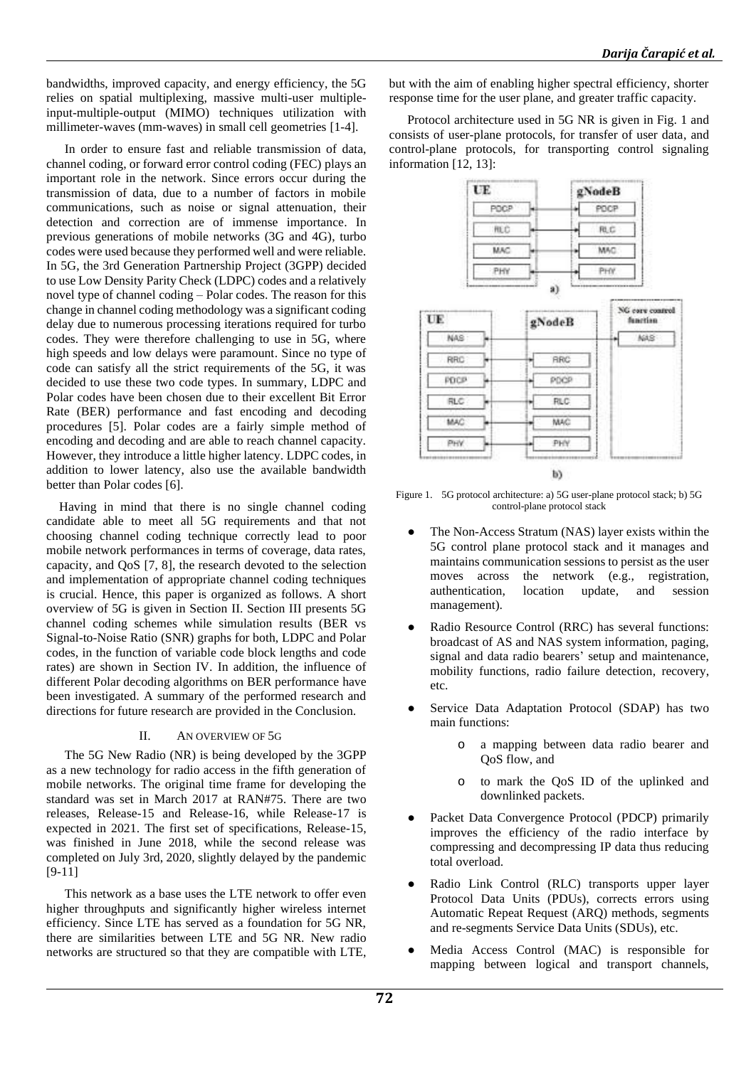bandwidths, improved capacity, and energy efficiency, the 5G relies on spatial multiplexing, massive multi-user multipleinput-multiple-output (MIMO) techniques utilization with millimeter-waves (mm-waves) in small cell geometries [1-4].

In order to ensure fast and reliable transmission of data, channel coding, or forward error control coding (FEC) plays an important role in the network. Since errors occur during the transmission of data, due to a number of factors in mobile communications, such as noise or signal attenuation, their detection and correction are of immense importance. In previous generations of mobile networks (3G and 4G), turbo codes were used because they performed well and were reliable. In 5G, the 3rd Generation Partnership Project (3GPP) decided to use Low Density Parity Check (LDPC) codes and a relatively novel type of channel coding – Polar codes. The reason for this change in channel coding methodology was a significant coding delay due to numerous processing iterations required for turbo codes. They were therefore challenging to use in 5G, where high speeds and low delays were paramount. Since no type of code can satisfy all the strict requirements of the 5G, it was decided to use these two code types. In summary, LDPC and Polar codes have been chosen due to their excellent Bit Error Rate (BER) performance and fast encoding and decoding procedures [5]. Polar codes are a fairly simple method of encoding and decoding and are able to reach channel capacity. However, they introduce a little higher latency. LDPC codes, in addition to lower latency, also use the available bandwidth better than Polar codes [6].

Having in mind that there is no single channel coding candidate able to meet all 5G requirements and that not choosing channel coding technique correctly lead to poor mobile network performances in terms of coverage, data rates, capacity, and QoS [7, 8], the research devoted to the selection and implementation of appropriate channel coding techniques is crucial. Hence, this paper is organized as follows. A short overview of 5G is given in Section II. Section III presents 5G channel coding schemes while simulation results (BER vs Signal-to-Noise Ratio (SNR) graphs for both, LDPC and Polar codes, in the function of variable code block lengths and code rates) are shown in Section IV. In addition, the influence of different Polar decoding algorithms on BER performance have been investigated. A summary of the performed research and directions for future research are provided in the Conclusion.

## II. AN OVERVIEW OF 5G

The 5G New Radio (NR) is being developed by the 3GPP as a new technology for radio access in the fifth generation of mobile networks. The original time frame for developing the standard was set in March 2017 at RAN#75. There are two releases, Release-15 and Release-16, while Release-17 is expected in 2021. The first set of specifications, Release-15, was finished in June 2018, while the second release was completed on July 3rd, 2020, slightly delayed by the pandemic [9-11]

This network as a base uses the LTE network to offer even higher throughputs and significantly higher wireless internet efficiency. Since LTE has served as a foundation for 5G NR, there are similarities between LTE and 5G NR. New radio networks are structured so that they are compatible with LTE, but with the aim of enabling higher spectral efficiency, shorter response time for the user plane, and greater traffic capacity.

Protocol architecture used in 5G NR is given in Fig. 1 and consists of user-plane protocols, for transfer of user data, and control-plane protocols, for transporting control signaling information [12, 13]:



Figure 1. 5G protocol architecture: a) 5G user-plane protocol stack; b) 5G control-plane protocol stack

- The Non-Access Stratum (NAS) layer exists within the 5G control plane protocol stack and it manages and maintains communication sessions to persist as the user moves across the network (e.g., registration, authentication, location update, and session management).
- Radio Resource Control (RRC) has several functions: broadcast of AS and NAS system information, paging, signal and data radio bearers' setup and maintenance, mobility functions, radio failure detection, recovery, etc.
- Service Data Adaptation Protocol (SDAP) has two main functions:
	- o a mapping between data radio bearer and QoS flow, and
	- o to mark the QoS ID of the uplinked and downlinked packets.
- Packet Data Convergence Protocol (PDCP) primarily improves the efficiency of the radio interface by compressing and decompressing IP data thus reducing total overload.
- Radio Link Control (RLC) transports upper layer Protocol Data Units (PDUs), corrects errors using Automatic Repeat Request (ARQ) methods, segments and re-segments Service Data Units (SDUs), etc.
- Media Access Control (MAC) is responsible for mapping between logical and transport channels,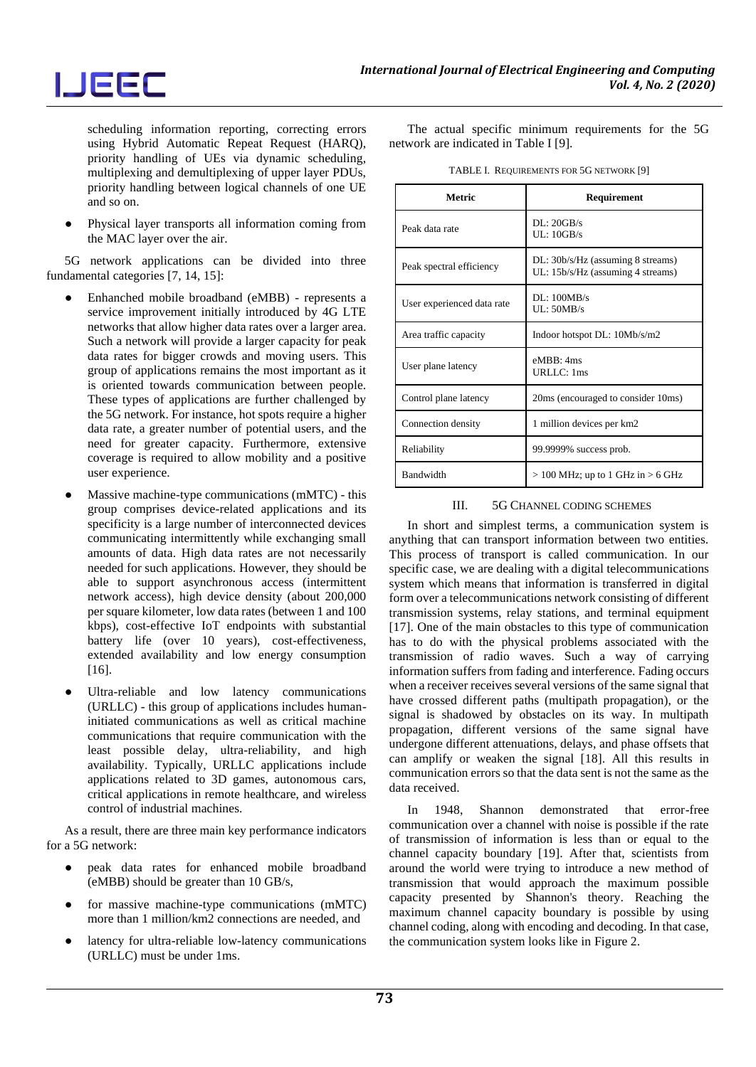

scheduling information reporting, correcting errors using Hybrid Automatic Repeat Request (HARQ), priority handling of UEs via dynamic scheduling, multiplexing and demultiplexing of upper layer PDUs, priority handling between logical channels of one UE and so on.

Physical layer transports all information coming from the MAC layer over the air.

5G network applications can be divided into three fundamental categories [7, 14, 15]:

- Enhanched mobile broadband (eMBB) represents a service improvement initially introduced by 4G LTE networks that allow higher data rates over a larger area. Such a network will provide a larger capacity for peak data rates for bigger crowds and moving users. This group of applications remains the most important as it is oriented towards communication between people. These types of applications are further challenged by the 5G network. For instance, hot spots require a higher data rate, a greater number of potential users, and the need for greater capacity. Furthermore, extensive coverage is required to allow mobility and a positive user experience.
- Massive machine-type communications (mMTC) this group comprises device-related applications and its specificity is a large number of interconnected devices communicating intermittently while exchanging small amounts of data. High data rates are not necessarily needed for such applications. However, they should be able to support asynchronous access (intermittent network access), high device density (about 200,000 per square kilometer, low data rates (between 1 and 100 kbps), cost-effective IoT endpoints with substantial battery life (over 10 years), cost-effectiveness, extended availability and low energy consumption [16].
- Ultra-reliable and low latency communications (URLLC) - this group of applications includes humaninitiated communications as well as critical machine communications that require communication with the least possible delay, ultra-reliability, and high availability. Typically, URLLC applications include applications related to 3D games, autonomous cars, critical applications in remote healthcare, and wireless control of industrial machines.

As a result, there are three main key performance indicators for a 5G network:

- peak data rates for enhanced mobile broadband (eMBB) should be greater than 10 GB/s,
- for massive machine-type communications (mMTC) more than 1 million/km2 connections are needed, and
- latency for ultra-reliable low-latency communications (URLLC) must be under 1ms.

The actual specific minimum requirements for the 5G network are indicated in Table I [9].

| TABLE I. REQUIREMENTS FOR 5G NETWORK [9] |
|------------------------------------------|
|------------------------------------------|

| Metric                     | Requirement                                                            |
|----------------------------|------------------------------------------------------------------------|
| Peak data rate             | DI: 20GB/s<br>UL: 10GB/s                                               |
| Peak spectral efficiency   | DL: 30b/s/Hz (assuming 8 streams)<br>UL: 15b/s/Hz (assuming 4 streams) |
| User experienced data rate | DL:100MB/s<br>UL: 50MB/s                                               |
| Area traffic capacity      | Indoor hotspot DL: 10Mb/s/m2                                           |
| User plane latency         | eMBB: 4ms<br>URLLC: 1ms                                                |
| Control plane latency      | 20ms (encouraged to consider 10ms)                                     |
| Connection density         | 1 million devices per km2                                              |
| Reliability                | 99.9999% success prob.                                                 |
| Bandwidth                  | $> 100$ MHz; up to 1 GHz in $> 6$ GHz                                  |

#### III. 5G CHANNEL CODING SCHEMES

In short and simplest terms, a communication system is anything that can transport information between two entities. This process of transport is called communication. In our specific case, we are dealing with a digital telecommunications system which means that information is transferred in digital form over a telecommunications network consisting of different transmission systems, relay stations, and terminal equipment [17]. One of the main obstacles to this type of communication has to do with the physical problems associated with the transmission of radio waves. Such a way of carrying information suffers from fading and interference. Fading occurs when a receiver receives several versions of the same signal that have crossed different paths (multipath propagation), or the signal is shadowed by obstacles on its way. In multipath propagation, different versions of the same signal have undergone different attenuations, delays, and phase offsets that can amplify or weaken the signal [18]. All this results in communication errors so that the data sent is not the same as the data received.

In 1948, Shannon demonstrated that error-free communication over a channel with noise is possible if the rate of transmission of information is less than or equal to the channel capacity boundary [19]. After that, scientists from around the world were trying to introduce a new method of transmission that would approach the maximum possible capacity presented by Shannon's theory. Reaching the maximum channel capacity boundary is possible by using channel coding, along with encoding and decoding. In that case, the communication system looks like in Figure 2.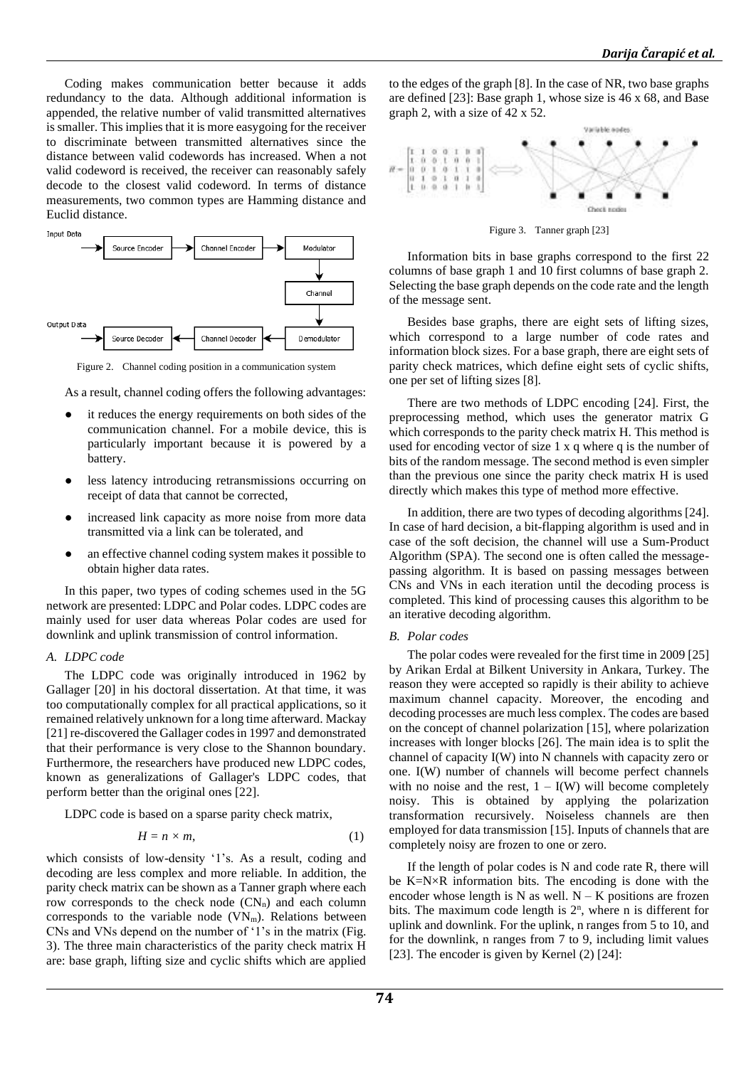Coding makes communication better because it adds redundancy to the data. Although additional information is appended, the relative number of valid transmitted alternatives is smaller. This implies that it is more easygoing for the receiver to discriminate between transmitted alternatives since the distance between valid codewords has increased. When a not valid codeword is received, the receiver can reasonably safely decode to the closest valid codeword. In terms of distance measurements, two common types are Hamming distance and Euclid distance.



Figure 2. Channel coding position in a communication system

As a result, channel coding offers the following advantages:

- it reduces the energy requirements on both sides of the communication channel. For a mobile device, this is particularly important because it is powered by a battery.
- less latency introducing retransmissions occurring on receipt of data that cannot be corrected,
- increased link capacity as more noise from more data transmitted via a link can be tolerated, and
- an effective channel coding system makes it possible to obtain higher data rates.

In this paper, two types of coding schemes used in the 5G network are presented: LDPC and Polar codes. LDPC codes are mainly used for user data whereas Polar codes are used for downlink and uplink transmission of control information.

#### *A. LDPC code*

The LDPC code was originally introduced in 1962 by Gallager [20] in his doctoral dissertation. At that time, it was too computationally complex for all practical applications, so it remained relatively unknown for a long time afterward. Mackay [21] re-discovered the Gallager codes in 1997 and demonstrated that their performance is very close to the Shannon boundary. Furthermore, the researchers have produced new LDPC codes, known as generalizations of Gallager's LDPC codes, that perform better than the original ones [22].

LDPC code is based on a sparse parity check matrix,

$$
H = n \times m,\tag{1}
$$

which consists of low-density '1's. As a result, coding and decoding are less complex and more reliable. In addition, the parity check matrix can be shown as a Tanner graph where each row corresponds to the check node  $(CN_n)$  and each column corresponds to the variable node  $(VN<sub>m</sub>)$ . Relations between CNs and VNs depend on the number of '1's in the matrix (Fig. 3). The three main characteristics of the parity check matrix H are: base graph, lifting size and cyclic shifts which are applied

to the edges of the graph [8]. In the case of NR, two base graphs are defined [23]: Base graph 1, whose size is 46 x 68, and Base graph 2, with a size of 42 x 52.



Figure 3. Tanner graph [23]

Information bits in base graphs correspond to the first 22 columns of base graph 1 and 10 first columns of base graph 2. Selecting the base graph depends on the code rate and the length of the message sent.

Besides base graphs, there are eight sets of lifting sizes, which correspond to a large number of code rates and information block sizes. For a base graph, there are eight sets of parity check matrices, which define eight sets of cyclic shifts, one per set of lifting sizes [8].

There are two methods of LDPC encoding [24]. First, the preprocessing method, which uses the generator matrix G which corresponds to the parity check matrix H. This method is used for encoding vector of size 1 x q where q is the number of bits of the random message. The second method is even simpler than the previous one since the parity check matrix H is used directly which makes this type of method more effective.

In addition, there are two types of decoding algorithms [24]. In case of hard decision, a bit-flapping algorithm is used and in case of the soft decision, the channel will use a Sum-Product Algorithm (SPA). The second one is often called the messagepassing algorithm. It is based on passing messages between CNs and VNs in each iteration until the decoding process is completed. This kind of processing causes this algorithm to be an iterative decoding algorithm.

#### *B. Polar codes*

The polar codes were revealed for the first time in 2009 [25] by Arikan Erdal at Bilkent University in Ankara, Turkey. The reason they were accepted so rapidly is their ability to achieve maximum channel capacity. Moreover, the encoding and decoding processes are much less complex. The codes are based on the concept of channel polarization [15], where polarization increases with longer blocks [26]. The main idea is to split the channel of capacity I(W) into N channels with capacity zero or one. I(W) number of channels will become perfect channels with no noise and the rest,  $1 - I(W)$  will become completely noisy. This is obtained by applying the polarization transformation recursively. Noiseless channels are then employed for data transmission [15]. Inputs of channels that are completely noisy are frozen to one or zero.

If the length of polar codes is N and code rate R, there will be K=N×R information bits. The encoding is done with the encoder whose length is N as well.  $N - K$  positions are frozen bits. The maximum code length is  $2<sup>n</sup>$ , where n is different for uplink and downlink. For the uplink, n ranges from 5 to 10, and for the downlink, n ranges from 7 to 9, including limit values [23]. The encoder is given by Kernel (2) [24]: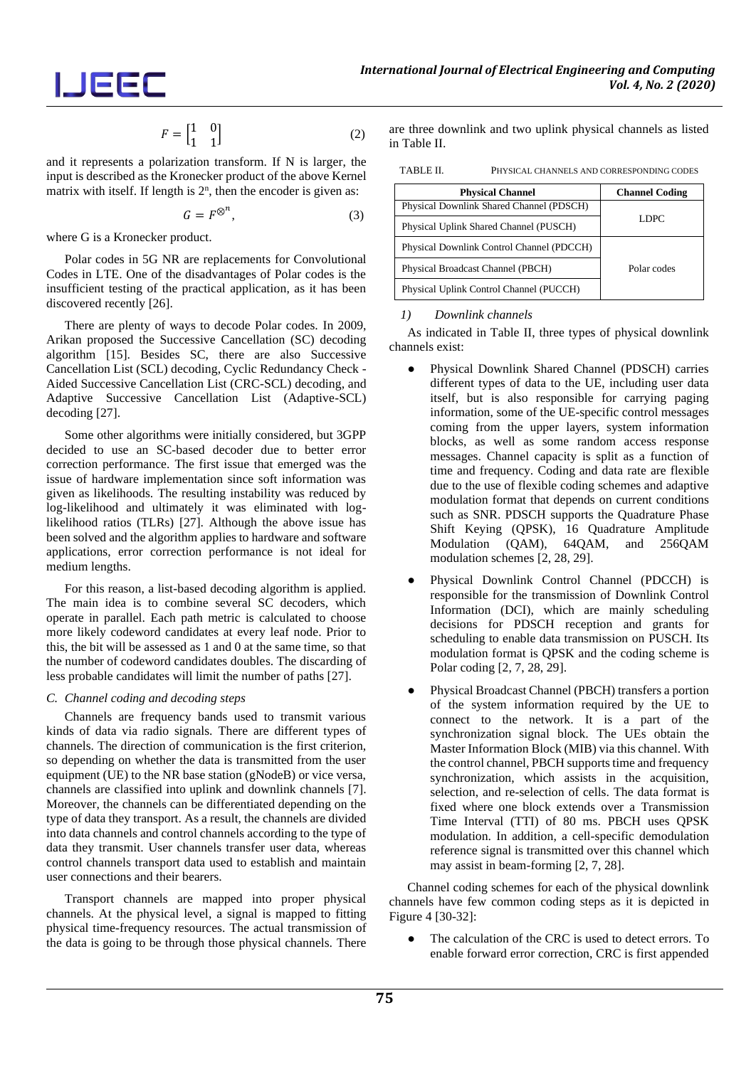$$
\overline{\phantom{a}}\overline{\phantom{a}}\overline{\phantom{a}}\overline{\phantom{a}}\overline{\phantom{a}}\overline{\phantom{a}}\overline{\phantom{a}}
$$

$$
F = \begin{bmatrix} 1 & 0 \\ 1 & 1 \end{bmatrix} \tag{2}
$$

and it represents a polarization transform. If N is larger, the input is described as the Kronecker product of the above Kernel matrix with itself. If length is  $2<sup>n</sup>$ , then the encoder is given as:

$$
G = F^{\otimes^n},\tag{3}
$$

where G is a Kronecker product.

Polar codes in 5G NR are replacements for Convolutional Codes in LTE. One of the disadvantages of Polar codes is the insufficient testing of the practical application, as it has been discovered recently [26].

There are plenty of ways to decode Polar codes. In 2009, Arikan proposed the Successive Cancellation (SC) decoding algorithm [15]. Besides SC, there are also Successive Cancellation List (SCL) decoding, Cyclic Redundancy Check - Aided Successive Cancellation List (CRC-SCL) decoding, and Adaptive Successive Cancellation List (Adaptive-SCL) decoding [27].

Some other algorithms were initially considered, but 3GPP decided to use an SC-based decoder due to better error correction performance. The first issue that emerged was the issue of hardware implementation since soft information was given as likelihoods. The resulting instability was reduced by log-likelihood and ultimately it was eliminated with loglikelihood ratios (TLRs) [27]. Although the above issue has been solved and the algorithm applies to hardware and software applications, error correction performance is not ideal for medium lengths.

For this reason, a list-based decoding algorithm is applied. The main idea is to combine several SC decoders, which operate in parallel. Each path metric is calculated to choose more likely codeword candidates at every leaf node. Prior to this, the bit will be assessed as 1 and 0 at the same time, so that the number of codeword candidates doubles. The discarding of less probable candidates will limit the number of paths [27].

## *C. Channel coding and decoding steps*

Channels are frequency bands used to transmit various kinds of data via radio signals. There are different types of channels. The direction of communication is the first criterion, so depending on whether the data is transmitted from the user equipment (UE) to the NR base station (gNodeB) or vice versa, channels are classified into uplink and downlink channels [7]. Moreover, the channels can be differentiated depending on the type of data they transport. As a result, the channels are divided into data channels and control channels according to the type of data they transmit. User channels transfer user data, whereas control channels transport data used to establish and maintain user connections and their bearers.

Transport channels are mapped into proper physical channels. At the physical level, a signal is mapped to fitting physical time-frequency resources. The actual transmission of the data is going to be through those physical channels. There are three downlink and two uplink physical channels as listed in Table II.

TABLE II. PHYSICAL CHANNELS AND CORRESPONDING CODES

| <b>Physical Channel</b>                   | <b>Channel Coding</b> |
|-------------------------------------------|-----------------------|
| Physical Downlink Shared Channel (PDSCH)  |                       |
| Physical Uplink Shared Channel (PUSCH)    | <b>LDPC</b>           |
| Physical Downlink Control Channel (PDCCH) | Polar codes           |
| Physical Broadcast Channel (PBCH)         |                       |
| Physical Uplink Control Channel (PUCCH)   |                       |

## *1) Downlink channels*

As indicated in Table II, three types of physical downlink channels exist:

- Physical Downlink Shared Channel (PDSCH) carries different types of data to the UE, including user data itself, but is also responsible for carrying paging information, some of the UE-specific control messages coming from the upper layers, system information blocks, as well as some random access response messages. Channel capacity is split as a function of time and frequency. Coding and data rate are flexible due to the use of flexible coding schemes and adaptive modulation format that depends on current conditions such as SNR. PDSCH supports the Quadrature Phase Shift Keying (QPSK), 16 Quadrature Amplitude Modulation (QAM), 64QAM, and 256QAM modulation schemes [2, 28, 29].
- Physical Downlink Control Channel (PDCCH) is responsible for the transmission of Downlink Control Information (DCI), which are mainly scheduling decisions for PDSCH reception and grants for scheduling to enable data transmission on PUSCH. Its modulation format is QPSK and the coding scheme is Polar coding [2, 7, 28, 29].
- Physical Broadcast Channel (PBCH) transfers a portion of the system information required by the UE to connect to the network. It is a part of the synchronization signal block. The UEs obtain the Master Information Block (MIB) via this channel. With the control channel, PBCH supports time and frequency synchronization, which assists in the acquisition, selection, and re-selection of cells. The data format is fixed where one block extends over a Transmission Time Interval (TTI) of 80 ms. PBCH uses QPSK modulation. In addition, a cell-specific demodulation reference signal is transmitted over this channel which may assist in beam-forming [2, 7, 28].

Channel coding schemes for each of the physical downlink channels have few common coding steps as it is depicted in Figure 4 [30-32]:

The calculation of the CRC is used to detect errors. To enable forward error correction, CRC is first appended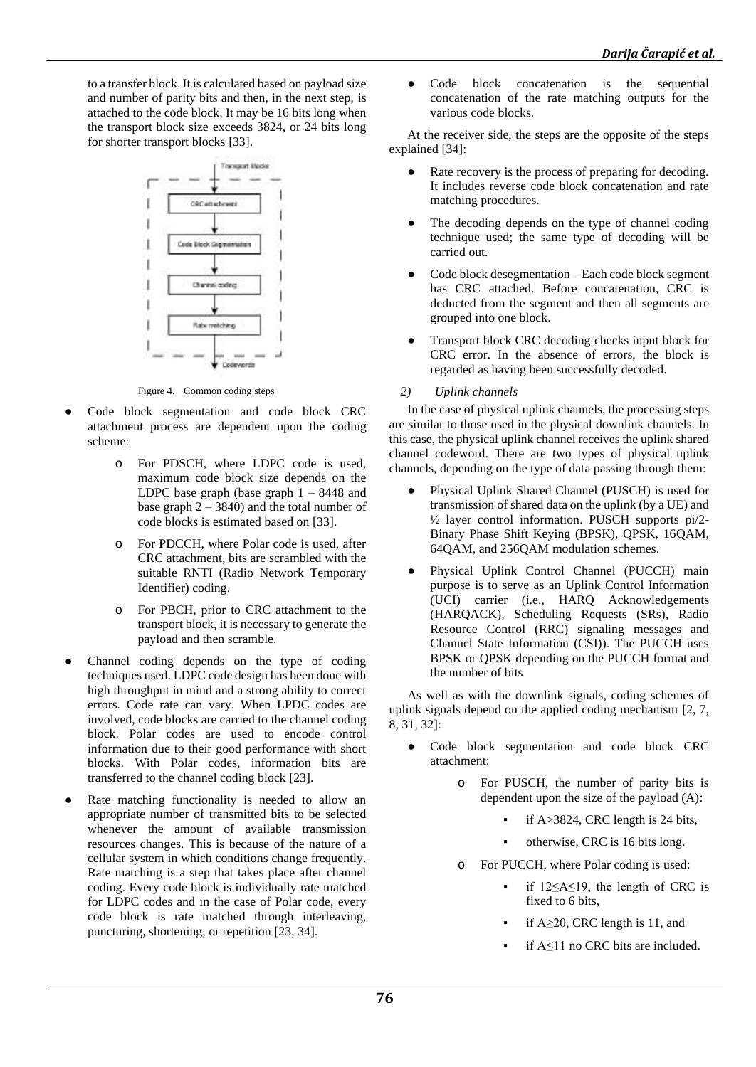to a transfer block. It is calculated based on payload size and number of parity bits and then, in the next step, is attached to the code block. It may be 16 bits long when the transport block size exceeds 3824, or 24 bits long for shorter transport blocks [33].



Figure 4. Common coding steps

- Code block segmentation and code block CRC attachment process are dependent upon the coding scheme:
	- o For PDSCH, where LDPC code is used, maximum code block size depends on the LDPC base graph (base graph  $1 - 8448$  and base graph  $2 - 3840$ ) and the total number of code blocks is estimated based on [33].
	- o For PDCCH, where Polar code is used, after CRC attachment, bits are scrambled with the suitable RNTI (Radio Network Temporary Identifier) coding.
	- o For PBCH, prior to CRC attachment to the transport block, it is necessary to generate the payload and then scramble.
- Channel coding depends on the type of coding techniques used. LDPC code design has been done with high throughput in mind and a strong ability to correct errors. Code rate can vary. When LPDC codes are involved, code blocks are carried to the channel coding block. Polar codes are used to encode control information due to their good performance with short blocks. With Polar codes, information bits are transferred to the channel coding block [23].
- Rate matching functionality is needed to allow an appropriate number of transmitted bits to be selected whenever the amount of available transmission resources changes. This is because of the nature of a cellular system in which conditions change frequently. Rate matching is a step that takes place after channel coding. Every code block is individually rate matched for LDPC codes and in the case of Polar code, every code block is rate matched through interleaving, puncturing, shortening, or repetition [23, 34].

● Code block concatenation is the sequential concatenation of the rate matching outputs for the various code blocks.

At the receiver side, the steps are the opposite of the steps explained [34]:

- Rate recovery is the process of preparing for decoding. It includes reverse code block concatenation and rate matching procedures.
- The decoding depends on the type of channel coding technique used; the same type of decoding will be carried out.
- Code block desegmentation Each code block segment has CRC attached. Before concatenation, CRC is deducted from the segment and then all segments are grouped into one block.
- Transport block CRC decoding checks input block for CRC error. In the absence of errors, the block is regarded as having been successfully decoded.
- *2) Uplink channels*

In the case of physical uplink channels, the processing steps are similar to those used in the physical downlink channels. In this case, the physical uplink channel receives the uplink shared channel codeword. There are two types of physical uplink channels, depending on the type of data passing through them:

- Physical Uplink Shared Channel (PUSCH) is used for transmission of shared data on the uplink (by a UE) and ½ layer control information. PUSCH supports pi/2- Binary Phase Shift Keying (BPSK), QPSK, 16QAM, 64QAM, and 256QAM modulation schemes.
- Physical Uplink Control Channel (PUCCH) main purpose is to serve as an Uplink Control Information (UCI) carrier (i.e., HARQ Acknowledgements (HARQACK), Scheduling Requests (SRs), Radio Resource Control (RRC) signaling messages and Channel State Information (CSI)). The PUCCH uses BPSK or QPSK depending on the PUCCH format and the number of bits

As well as with the downlink signals, coding schemes of uplink signals depend on the applied coding mechanism [2, 7, 8, 31, 32]:

- Code block segmentation and code block CRC attachment:
	- o For PUSCH, the number of parity bits is dependent upon the size of the payload (A):
		- if  $A > 3824$ , CRC length is 24 bits,
		- otherwise, CRC is 16 bits long.
	- o For PUCCH, where Polar coding is used:
		- if  $12 \leq A \leq 19$ , the length of CRC is fixed to 6 bits,
		- if  $A \geq 20$ , CRC length is 11, and
		- if  $A \leq 11$  no CRC bits are included.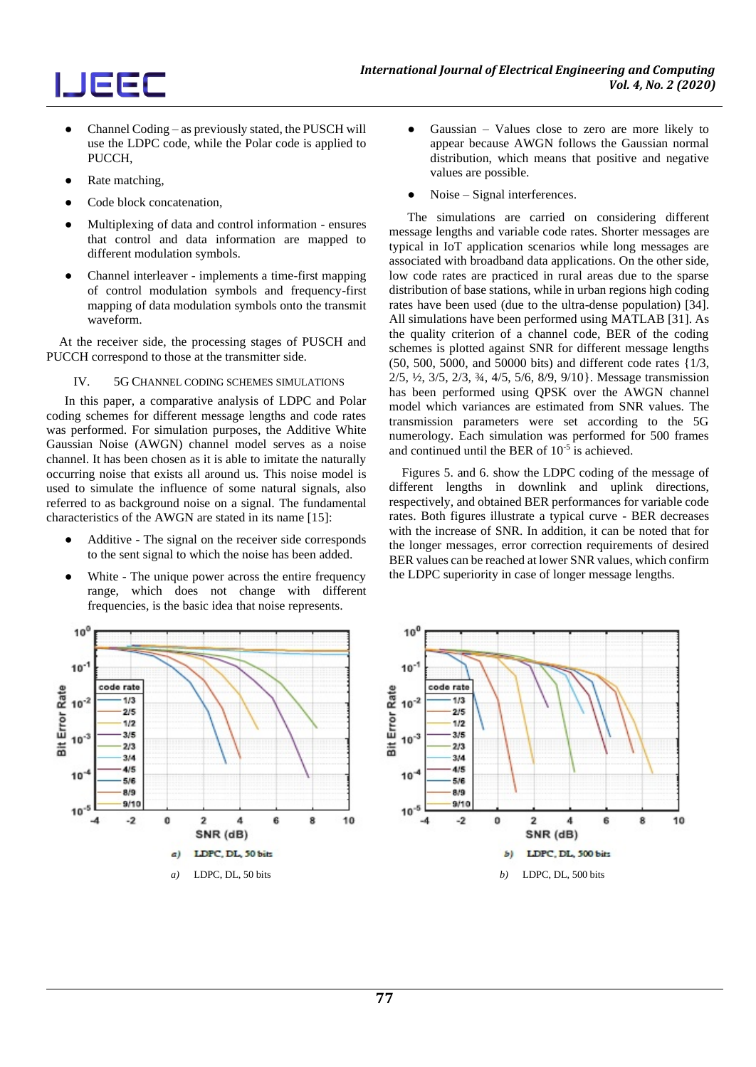

- Channel Coding as previously stated, the PUSCH will use the LDPC code, while the Polar code is applied to PUCCH,
- Rate matching,

 $10<sup>0</sup>$ 

 $10^{-1}$ 

 $10^{-2}$ 

 $10^{-3}$ 

 $10<sup>-1</sup>$ 

 $10^{-5}$ 

**3it Error Rate** 

code rate

 $1/3$ 

 $2/5$ 

 $1/2$ 

3,15

 $2/3$ 

 $3/4$ 

 $4/5$ 

5.16

 $8/9$ 

 $9/10$ 

 $-2$ 

 $\mathbf 0$ 

 $a)$ 

 $\overline{\mathbf{2}}$ 

 $\overline{A}$ 

LDPC, DL, 50 bits

SNR (dB)

Ŕ.

8

10

- Code block concatenation.
- Multiplexing of data and control information ensures that control and data information are mapped to different modulation symbols.
- Channel interleaver implements a time-first mapping of control modulation symbols and frequency-first mapping of data modulation symbols onto the transmit waveform.

At the receiver side, the processing stages of PUSCH and PUCCH correspond to those at the transmitter side.

#### IV. 5G CHANNEL CODING SCHEMES SIMULATIONS

In this paper, a comparative analysis of LDPC and Polar coding schemes for different message lengths and code rates was performed. For simulation purposes, the Additive White Gaussian Noise (AWGN) channel model serves as a noise channel. It has been chosen as it is able to imitate the naturally occurring noise that exists all around us. This noise model is used to simulate the influence of some natural signals, also referred to as background noise on a signal. The fundamental characteristics of the AWGN are stated in its name [15]:

- Additive The signal on the receiver side corresponds to the sent signal to which the noise has been added.
- White The unique power across the entire frequency range, which does not change with different frequencies, is the basic idea that noise represents.
- Gaussian  $-$  Values close to zero are more likely to appear because AWGN follows the Gaussian normal distribution, which means that positive and negative values are possible.
- Noise Signal interferences.

The simulations are carried on considering different message lengths and variable code rates. Shorter messages are typical in IoT application scenarios while long messages are associated with broadband data applications. On the other side, low code rates are practiced in rural areas due to the sparse distribution of base stations, while in urban regions high coding rates have been used (due to the ultra-dense population) [34]. All simulations have been performed using MATLAB [31]. As the quality criterion of a channel code, BER of the coding schemes is plotted against SNR for different message lengths (50, 500, 5000, and 50000 bits) and different code rates {1/3, 2/5, ½, 3/5, 2/3, ¾, 4/5, 5/6, 8/9, 9/10}. Message transmission has been performed using QPSK over the AWGN channel model which variances are estimated from SNR values. The transmission parameters were set according to the 5G numerology. Each simulation was performed for 500 frames and continued until the BER of  $10^{-5}$  is achieved.

Figures 5. and 6. show the LDPC coding of the message of different lengths in downlink and uplink directions, respectively, and obtained BER performances for variable code rates. Both figures illustrate a typical curve - BER decreases with the increase of SNR. In addition, it can be noted that for the longer messages, error correction requirements of desired BER values can be reached at lower SNR values, which confirm the LDPC superiority in case of longer message lengths.

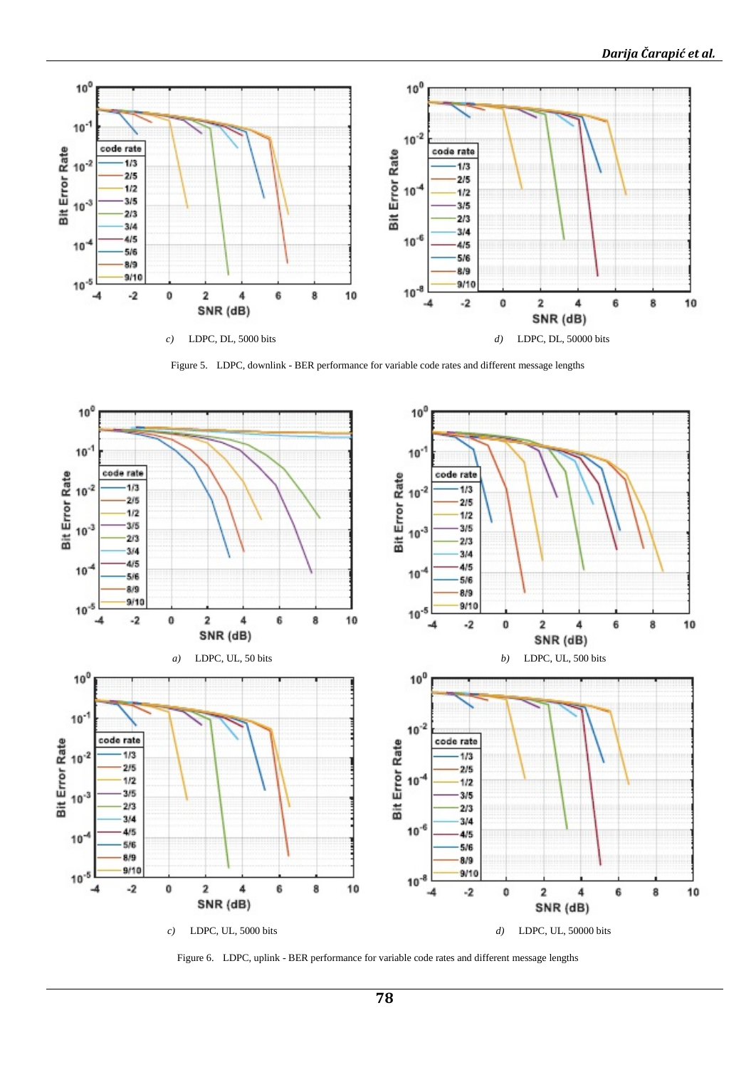

Figure 5. LDPC, downlink - BER performance for variable code rates and different message lengths



Figure 6. LDPC, uplink - BER performance for variable code rates and different message lengths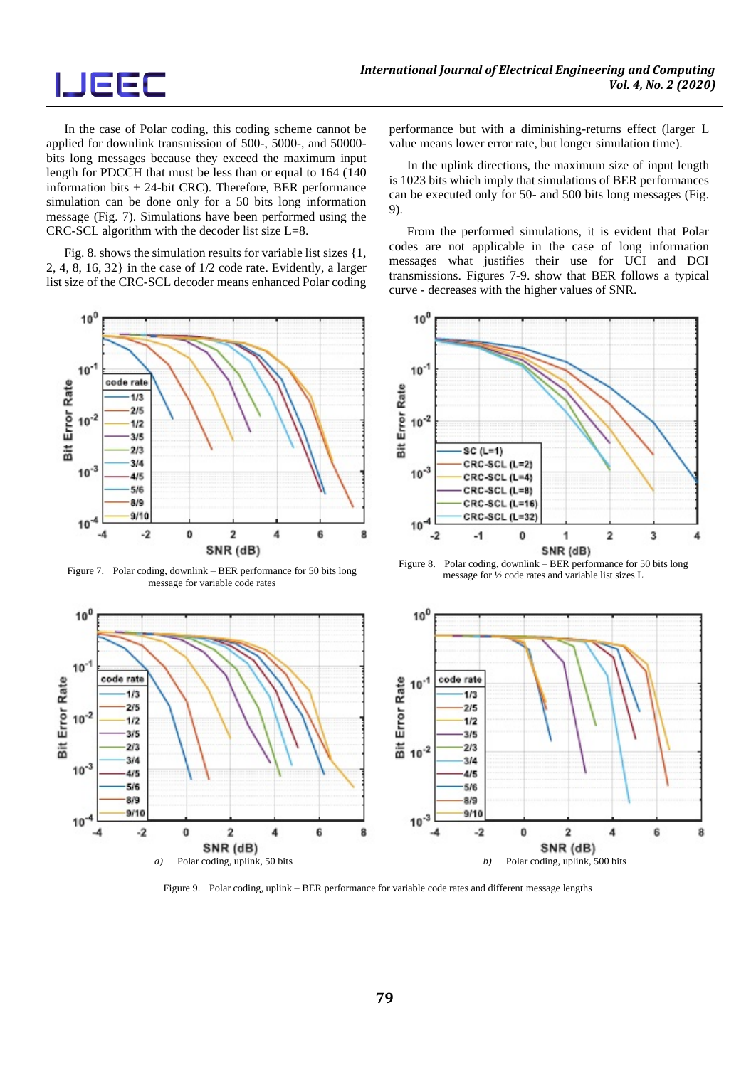# **IJEEC**

In the case of Polar coding, this coding scheme cannot be applied for downlink transmission of 500-, 5000-, and 50000 bits long messages because they exceed the maximum input length for PDCCH that must be less than or equal to 164 (140 information bits + 24-bit CRC). Therefore, BER performance simulation can be done only for a 50 bits long information message (Fig. 7). Simulations have been performed using the CRC-SCL algorithm with the decoder list size L=8.

Fig. 8. shows the simulation results for variable list sizes {1, 2, 4, 8, 16, 32} in the case of 1/2 code rate. Evidently, a larger list size of the CRC-SCL decoder means enhanced Polar coding



Figure 7. Polar coding, downlink – BER performance for 50 bits long message for variable code rates

performance but with a diminishing-returns effect (larger L value means lower error rate, but longer simulation time).

In the uplink directions, the maximum size of input length is 1023 bits which imply that simulations of BER performances can be executed only for 50- and 500 bits long messages (Fig. 9).

From the performed simulations, it is evident that Polar codes are not applicable in the case of long information messages what justifies their use for UCI and DCI transmissions. Figures 7-9. show that BER follows a typical curve - decreases with the higher values of SNR.



Figure 8. Polar coding, downlink – BER performance for 50 bits long message for ½ code rates and variable list sizes L



Figure 9. Polar coding, uplink – BER performance for variable code rates and different message lengths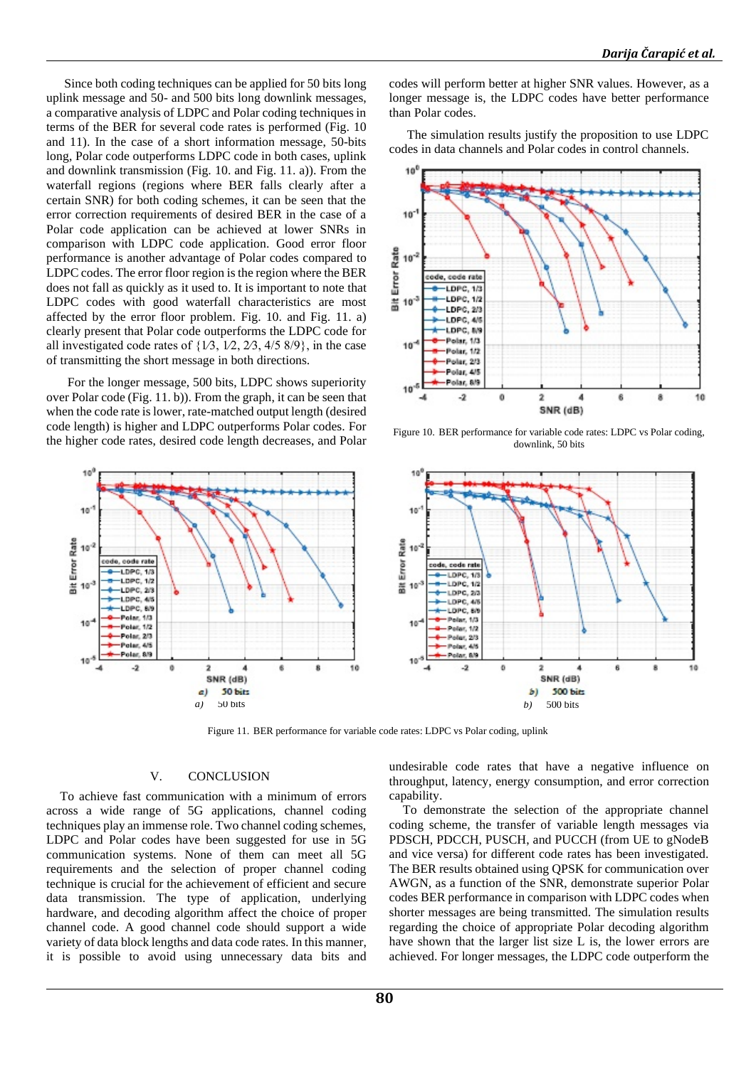Since both coding techniques can be applied for 50 bits long uplink message and 50- and 500 bits long downlink messages, a comparative analysis of LDPC and Polar coding techniques in terms of the BER for several code rates is performed (Fig. 10 and 11). In the case of a short information message, 50-bits long, Polar code outperforms LDPC code in both cases, uplink and downlink transmission (Fig. 10. and Fig. 11. a)). From the waterfall regions (regions where BER falls clearly after a certain SNR) for both coding schemes, it can be seen that the error correction requirements of desired BER in the case of a Polar code application can be achieved at lower SNRs in comparison with LDPC code application. Good error floor performance is another advantage of Polar codes compared to LDPC codes. The error floor region is the region where the BER does not fall as quickly as it used to. It is important to note that LDPC codes with good waterfall characteristics are most affected by the error floor problem. Fig. 10. and Fig. 11. a) clearly present that Polar code outperforms the LDPC code for all investigated code rates of  $\{1/3, 1/2, 2/3, 4/5, 8/9\}$ , in the case of transmitting the short message in both directions.

For the longer message, 500 bits, LDPC shows superiority over Polar code (Fig. 11. b)). From the graph, it can be seen that when the code rate is lower, rate-matched output length (desired code length) is higher and LDPC outperforms Polar codes. For the higher code rates, desired code length decreases, and Polar



codes will perform better at higher SNR values. However, as a longer message is, the LDPC codes have better performance than Polar codes.

The simulation results justify the proposition to use LDPC codes in data channels and Polar codes in control channels.



Figure 10. BER performance for variable code rates: LDPC vs Polar coding, downlink, 50 bits



Figure 11. BER performance for variable code rates: LDPC vs Polar coding, uplink

#### V. CONCLUSION

To achieve fast communication with a minimum of errors across a wide range of 5G applications, channel coding techniques play an immense role. Two channel coding schemes, LDPC and Polar codes have been suggested for use in 5G communication systems. None of them can meet all 5G requirements and the selection of proper channel coding technique is crucial for the achievement of efficient and secure data transmission. The type of application, underlying hardware, and decoding algorithm affect the choice of proper channel code. A good channel code should support a wide variety of data block lengths and data code rates. In this manner, it is possible to avoid using unnecessary data bits and

undesirable code rates that have a negative influence on throughput, latency, energy consumption, and error correction capability.

To demonstrate the selection of the appropriate channel coding scheme, the transfer of variable length messages via PDSCH, PDCCH, PUSCH, and PUCCH (from UE to gNodeB and vice versa) for different code rates has been investigated. The BER results obtained using QPSK for communication over AWGN, as a function of the SNR, demonstrate superior Polar codes BER performance in comparison with LDPC codes when shorter messages are being transmitted. The simulation results regarding the choice of appropriate Polar decoding algorithm have shown that the larger list size L is, the lower errors are achieved. For longer messages, the LDPC code outperform the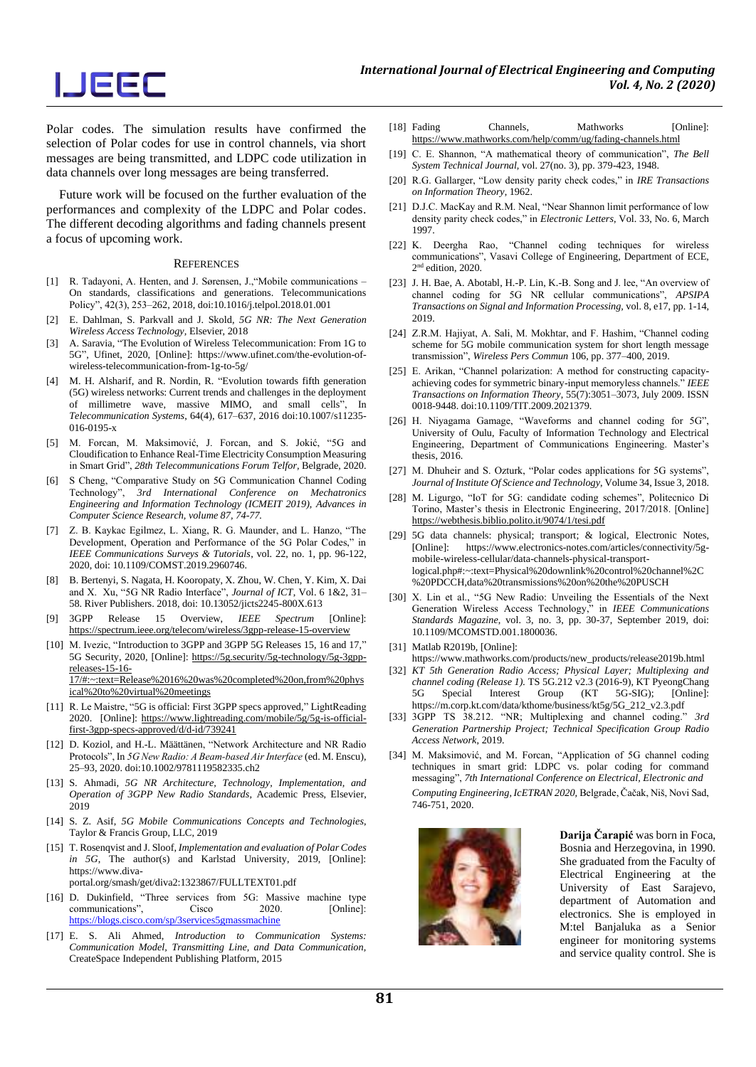Polar codes. The simulation results have confirmed the selection of Polar codes for use in control channels, via short messages are being transmitted, and LDPC code utilization in data channels over long messages are being transferred.

Future work will be focused on the further evaluation of the performances and complexity of the LDPC and Polar codes. The different decoding algorithms and fading channels present a focus of upcoming work.

#### **REFERENCES**

- [1] R. Tadayoni, A. Henten, and J. Sørensen, J.,"Mobile communications On standards, classifications and generations. Telecommunications Policy", 42(3), 253–262, 2018, doi:10.1016/j.telpol.2018.01.001
- [2] E. Dahlman, S. Parkvall and J. Skold, *5G NR: The Next Generation Wireless Access Technology,* Elsevier, 2018
- [3] A. Saravia, "The Evolution of Wireless Telecommunication: From 1G to 5G", Ufinet, 2020, [Online]: https://www.ufinet.com/the-evolution-ofwireless-telecommunication-from-1g-to-5g/
- [4] M. H. Alsharif, and R. Nordin, R. "Evolution towards fifth generation (5G) wireless networks: Current trends and challenges in the deployment of millimetre wave, massive MIMO, and small cells", In *Telecommunication Systems*, 64(4), 617–637, 2016 doi:10.1007/s11235- 016-0195-x
- [5] M. Forcan, M. Maksimović, J. Forcan, and S. Jokić, "5G and Cloudification to Enhance Real-Time Electricity Consumption Measuring in Smart Grid", *28th Telecommunications Forum Telfor,* Belgrade, 2020.
- [6] S Cheng, "Comparative Study on 5G Communication Channel Coding Technology", *3rd International Conference on Mechatronics Engineering and Information Technology (ICMEIT 2019), Advances in Computer Science Research, volume 87, 74-77.*
- [7] Z. B. Kaykac Egilmez, L. Xiang, R. G. Maunder, and L. Hanzo, "The Development, Operation and Performance of the 5G Polar Codes," in *IEEE Communications Surveys & Tutorials*, vol. 22, no. 1, pp. 96-122, 2020, doi: 10.1109/COMST.2019.2960746.
- [8] B. Bertenyi, S. Nagata, H. Kooropaty, X. Zhou, W. Chen, Y. Kim, X. Dai and X. Xu, "5G NR Radio Interface", *Journal of ICT*, Vol. 6 1&2, 31– 58. River Publishers. 2018, doi: 10.13052/jicts2245-800X.613
- [9] 3GPP Release 15 Overview, *IEEE Spectrum* [Online]: https://spectrum.ieee.org/telecom/wireless/3gpp-release-15-overview
- [10] M. Ivezic, "Introduction to 3GPP and 3GPP 5G Releases 15, 16 and 17," 5G Security, 2020, [Online]: https://5g.security/5g-technology/5g-3gppreleases-15-16- 17/#:~:text=Release%2016%20was%20completed%20on,from%20phys

ical%20to%20virtual%20meetings [11] R. Le Maistre, "5G is official: First 3GPP specs approved," LightReading

- 2020. [Online]: https://www.lightreading.com/mobile/5g/5g-is-officialfirst-3gpp-specs-approved/d/d-id/739241
- [12] D. Koziol, and H.-L. Määttänen, "Network Architecture and NR Radio Protocols", In *5G New Radio: A Beam‐based Air Interface* (ed. M. Enscu), 25–93, 2020. doi:10.1002/9781119582335.ch2
- [13] S. Ahmadi, *5G NR Architecture, Technology, Implementation, and Operation of 3GPP New Radio Standards,* Academic Press, Elsevier, 2019
- [14] S. Z. Asif, *5G Mobile Communications Concepts and Technologies*, Taylor & Francis Group, LLC, 2019
- [15] T. Rosenqvist and J. Sloof, *Implementation and evaluation of Polar Codes in 5G*, The author(s) and Karlstad University, 2019, [Online]: https://www.divaportal.org/smash/get/diva2:1323867/FULLTEXT01.pdf
- [16] D. Dukinfield, "Three services from 5G: Massive machine type communications", Cisco 2020. [Online]: https://blogs.cisco.com/sp/3services5gmassmachine
- [17] E. S. Ali Ahmed, *Introduction to Communication Systems: Communication Model, Transmitting Line, and Data Communication,* CreateSpace Independent Publishing Platform, 2015
- [18] Fading Channels, Mathworks [Online]: https://www.mathworks.com/help/comm/ug/fading-channels.html
- [19] C. E. Shannon, "A mathematical theory of communication", *The Bell System Technical Journal,* vol. 27(no. 3), pp. 379-423, 1948.
- [20] R.G. Gallarger, "Low density parity check codes," in *IRE Transactions on Information Theory*, 1962.
- [21] D.J.C. MacKay and R.M. Neal, "Near Shannon limit performance of low density parity check codes," in *Electronic Letters*, Vol. 33, No. 6, March 1997.
- [22] K. Deergha Rao, "Channel coding techniques for wireless communications", Vasavi College of Engineering, Department of ECE, 2 nd edition, 2020.
- [23] J. H. Bae, A. Abotabl, H.-P. Lin, K.-B. Song and J. lee, "An overview of channel coding for 5G NR cellular communications", *APSIPA Transactions on Signal and Information Processing,* vol. 8, e17, pp. 1-14, 2019.
- [24] Z.R.M. Hajiyat, A. Sali, M. Mokhtar, and F. Hashim, "Channel coding scheme for 5G mobile communication system for short length message transmission", *Wireless Pers Commun* 106, pp. 377–400, 2019.
- [25] E. Arikan, "Channel polarization: A method for constructing capacityachieving codes for symmetric binary-input memoryless channels." *IEEE Transactions on Information Theory*, 55(7):3051–3073, July 2009. ISSN 0018-9448. doi:10.1109/TIT.2009.2021379.
- [26] H. Niyagama Gamage, "Waveforms and channel coding for 5G", University of Oulu, Faculty of Information Technology and Electrical Engineering, Department of Communications Engineering. Master's thesis, 2016.
- [27] M. Dhuheir and S. Ozturk, "Polar codes applications for 5G systems", *Journal of Institute Of Science and Technology*, Volume 34, Issue 3, 2018.
- [28] M. Ligurgo, "IoT for 5G: candidate coding schemes", Politecnico Di Torino, Master's thesis in Electronic Engineering, 2017/2018. [Online] https://webthesis.biblio.polito.it/9074/1/tesi.pdf
- [29] 5G data channels: physical; transport; & logical, Electronic Notes, [Online]: https://www.electronics-notes.com/articles/connectivity/5gmobile-wireless-cellular/data-channels-physical-transportlogical.php#:~:text=Physical%20downlink%20control%20channel%2C %20PDCCH,data%20transmissions%20on%20the%20PUSCH
- [30] X. Lin et al., "5G New Radio: Unveiling the Essentials of the Next Generation Wireless Access Technology," in *IEEE Communications Standards Magazine*, vol. 3, no. 3, pp. 30-37, September 2019, doi: 10.1109/MCOMSTD.001.1800036.
- [31] Matlab R2019b, [Online]:
- https://www.mathworks.com/products/new\_products/release2019b.html
- [32] *KT 5th Generation Radio Access; Physical Layer; Multiplexing and channel coding (Release 1).* TS 5G.212 v2.3 (2016-9), KT PyeongChang 5G Special Interest Group (KT 5G-SIG); [Online]: 5G Special Interest Group (KT 5G-SIG); [Online]: https://m.corp.kt.com/data/kthome/business/kt5g/5G\_212\_v2.3.pdf
- [33] 3GPP TS 38.212. "NR; Multiplexing and channel coding." *3rd Generation Partnership Project; Technical Specification Group Radio Access Network*, 2019.
- [34] M. Maksimović, and M. Forcan, "Application of 5G channel coding techniques in smart grid: LDPC vs. polar coding for command messaging", *7th International Conference on Electrical, Electronic and Computing Engineering, IcETRAN 2020,* Belgrade, Čačak, Niš, Novi Sad, 746-751, 2020.



**Darija Čarapić** was born in Foca, Bosnia and Herzegovina, in 1990. She graduated from the Faculty of Electrical Engineering at the University of East Sarajevo, department of Automation and electronics. She is employed in M:tel Banjaluka as a Senior engineer for monitoring systems and service quality control. She is